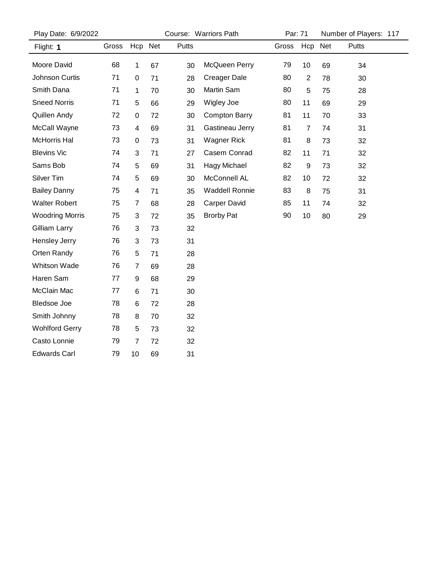| Play Date: 6/9/2022    |       |                         |    | Course: Warriors Path | Par: 71               |       | Number of Players: 117 |    |       |  |
|------------------------|-------|-------------------------|----|-----------------------|-----------------------|-------|------------------------|----|-------|--|
| Flight: 1              | Gross | Hcp Net                 |    | Putts                 |                       | Gross | Hcp Net                |    | Putts |  |
| Moore David            | 68    | 1                       | 67 | 30                    | McQueen Perry         | 79    | 10                     | 69 | 34    |  |
| Johnson Curtis         | 71    | 0                       | 71 | 28                    | <b>Creager Dale</b>   | 80    | $\overline{2}$         | 78 | 30    |  |
| Smith Dana             | 71    | 1                       | 70 | 30                    | Martin Sam            | 80    | 5                      | 75 | 28    |  |
| <b>Sneed Norris</b>    | 71    | 5                       | 66 | 29                    | Wigley Joe            | 80    | 11                     | 69 | 29    |  |
| Quillen Andy           | 72    | 0                       | 72 | 30                    | <b>Compton Barry</b>  | 81    | 11                     | 70 | 33    |  |
| McCall Wayne           | 73    | 4                       | 69 | 31                    | Gastineau Jerry       | 81    | $\overline{7}$         | 74 | 31    |  |
| McHorris Hal           | 73    | 0                       | 73 | 31                    | <b>Wagner Rick</b>    | 81    | 8                      | 73 | 32    |  |
| <b>Blevins Vic</b>     | 74    | 3                       | 71 | 27                    | Casem Conrad          | 82    | 11                     | 71 | 32    |  |
| Sams Bob               | 74    | 5                       | 69 | 31                    | Hagy Michael          | 82    | 9                      | 73 | 32    |  |
| Silver Tim             | 74    | 5                       | 69 | 30                    | McConnell AL          | 82    | 10                     | 72 | 32    |  |
| <b>Bailey Danny</b>    | 75    | $\overline{\mathbf{4}}$ | 71 | 35                    | <b>Waddell Ronnie</b> | 83    | 8                      | 75 | 31    |  |
| <b>Walter Robert</b>   | 75    | 7                       | 68 | 28                    | <b>Carper David</b>   | 85    | 11                     | 74 | 32    |  |
| <b>Woodring Morris</b> | 75    | 3                       | 72 | 35                    | <b>Brorby Pat</b>     | 90    | 10                     | 80 | 29    |  |
| Gilliam Larry          | 76    | 3                       | 73 | 32                    |                       |       |                        |    |       |  |
| Hensley Jerry          | 76    | 3                       | 73 | 31                    |                       |       |                        |    |       |  |
| Orten Randy            | 76    | 5                       | 71 | 28                    |                       |       |                        |    |       |  |
| <b>Whitson Wade</b>    | 76    | 7                       | 69 | 28                    |                       |       |                        |    |       |  |
| Haren Sam              | 77    | 9                       | 68 | 29                    |                       |       |                        |    |       |  |
| McClain Mac            | 77    | 6                       | 71 | 30                    |                       |       |                        |    |       |  |
| <b>Bledsoe Joe</b>     | 78    | 6                       | 72 | 28                    |                       |       |                        |    |       |  |
| Smith Johnny           | 78    | 8                       | 70 | 32                    |                       |       |                        |    |       |  |
| <b>Wohlford Gerry</b>  | 78    | 5                       | 73 | 32                    |                       |       |                        |    |       |  |
| Casto Lonnie           | 79    | 7                       | 72 | 32                    |                       |       |                        |    |       |  |
| <b>Edwards Carl</b>    | 79    | 10                      | 69 | 31                    |                       |       |                        |    |       |  |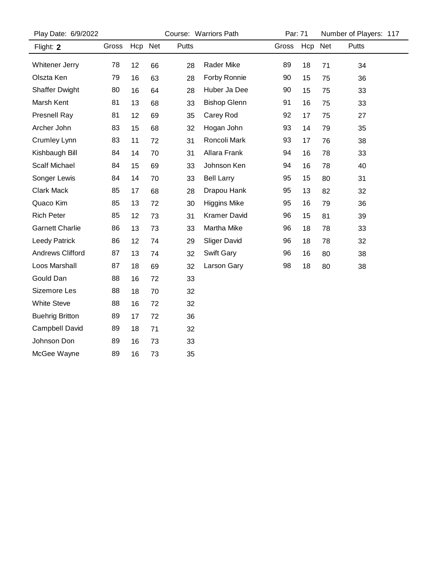| Play Date: 6/9/2022     |       |         |    |       | Course: Warriors Path |       | Par: 71 |    | Number of Players: 117 |
|-------------------------|-------|---------|----|-------|-----------------------|-------|---------|----|------------------------|
| Flight: 2               | Gross | Hcp Net |    | Putts |                       | Gross | Hcp Net |    | Putts                  |
| Whitener Jerry          | 78    | 12      | 66 | 28    | Rader Mike            | 89    | 18      | 71 | 34                     |
| Olszta Ken              | 79    | 16      | 63 | 28    | Forby Ronnie          | 90    | 15      | 75 | 36                     |
| <b>Shaffer Dwight</b>   | 80    | 16      | 64 | 28    | Huber Ja Dee          | 90    | 15      | 75 | 33                     |
| Marsh Kent              | 81    | 13      | 68 | 33    | <b>Bishop Glenn</b>   | 91    | 16      | 75 | 33                     |
| Presnell Ray            | 81    | 12      | 69 | 35    | Carey Rod             | 92    | 17      | 75 | 27                     |
| Archer John             | 83    | 15      | 68 | 32    | Hogan John            | 93    | 14      | 79 | 35                     |
| Crumley Lynn            | 83    | 11      | 72 | 31    | Roncoli Mark          | 93    | 17      | 76 | 38                     |
| Kishbaugh Bill          | 84    | 14      | 70 | 31    | Allara Frank          | 94    | 16      | 78 | 33                     |
| <b>Scalf Michael</b>    | 84    | 15      | 69 | 33    | Johnson Ken           | 94    | 16      | 78 | 40                     |
| Songer Lewis            | 84    | 14      | 70 | 33    | <b>Bell Larry</b>     | 95    | 15      | 80 | 31                     |
| <b>Clark Mack</b>       | 85    | 17      | 68 | 28    | Drapou Hank           | 95    | 13      | 82 | 32                     |
| Quaco Kim               | 85    | 13      | 72 | 30    | <b>Higgins Mike</b>   | 95    | 16      | 79 | 36                     |
| <b>Rich Peter</b>       | 85    | 12      | 73 | 31    | <b>Kramer David</b>   | 96    | 15      | 81 | 39                     |
| <b>Garnett Charlie</b>  | 86    | 13      | 73 | 33    | Martha Mike           | 96    | 18      | 78 | 33                     |
| <b>Leedy Patrick</b>    | 86    | 12      | 74 | 29    | <b>Sliger David</b>   | 96    | 18      | 78 | 32                     |
| <b>Andrews Clifford</b> | 87    | 13      | 74 | 32    | Swift Gary            | 96    | 16      | 80 | 38                     |
| Loos Marshall           | 87    | 18      | 69 | 32    | Larson Gary           | 98    | 18      | 80 | 38                     |
| Gould Dan               | 88    | 16      | 72 | 33    |                       |       |         |    |                        |
| Sizemore Les            | 88    | 18      | 70 | 32    |                       |       |         |    |                        |
| <b>White Steve</b>      | 88    | 16      | 72 | 32    |                       |       |         |    |                        |
| <b>Buehrig Britton</b>  | 89    | 17      | 72 | 36    |                       |       |         |    |                        |
| Campbell David          | 89    | 18      | 71 | 32    |                       |       |         |    |                        |
| Johnson Don             | 89    | 16      | 73 | 33    |                       |       |         |    |                        |
| McGee Wayne             | 89    | 16      | 73 | 35    |                       |       |         |    |                        |
|                         |       |         |    |       |                       |       |         |    |                        |